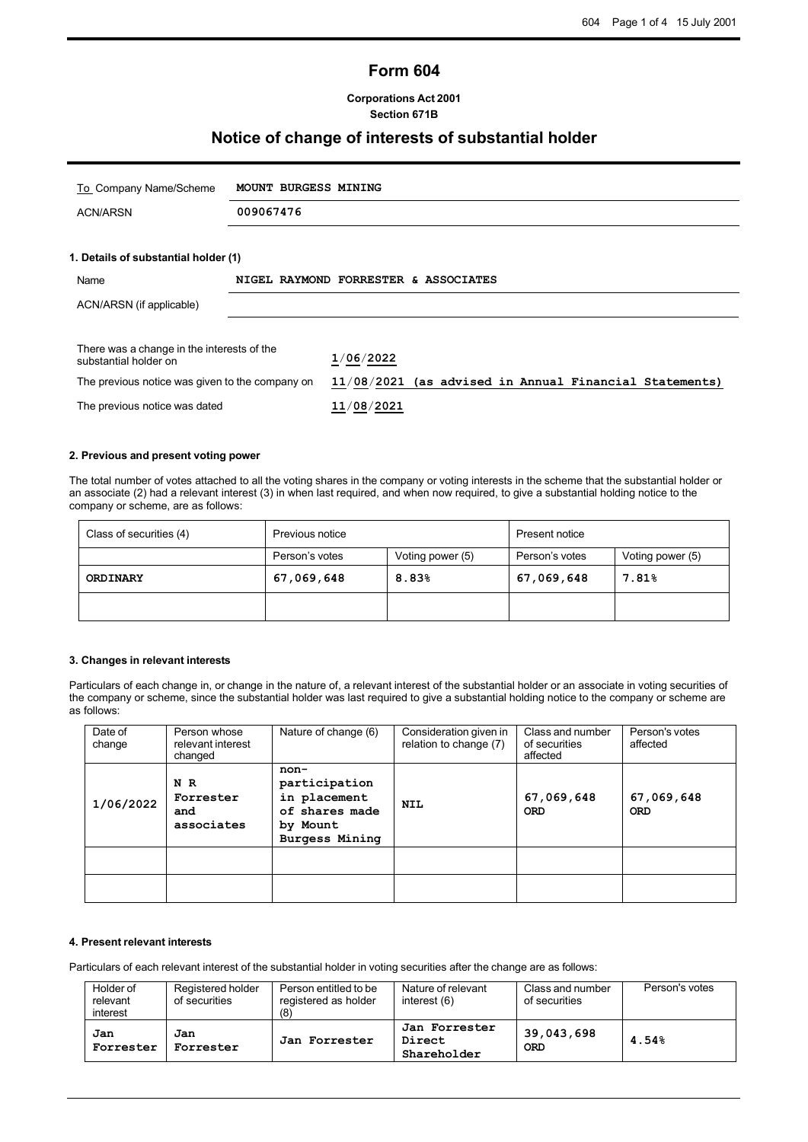## **Form 604**

#### **Corporations Act 2001 Section 671B**

## **Notice of change of interests of substantial holder**

| To Company Name/Scheme                                              | <b>MOUNT BURGESS MINING</b> |                                                          |
|---------------------------------------------------------------------|-----------------------------|----------------------------------------------------------|
| <b>ACN/ARSN</b>                                                     | 009067476                   |                                                          |
|                                                                     |                             |                                                          |
| 1. Details of substantial holder (1)                                |                             |                                                          |
| Name                                                                |                             | NIGEL RAYMOND FORRESTER & ASSOCIATES                     |
| ACN/ARSN (if applicable)                                            |                             |                                                          |
| There was a change in the interests of the<br>substantial holder on |                             | 1/06/2022                                                |
| The previous notice was given to the company on                     |                             | $11/08/2021$ (as advised in Annual Financial Statements) |
| The previous notice was dated                                       |                             | 11/08/2021                                               |

#### **2. Previous and present voting power**

The total number of votes attached to all the voting shares in the company or voting interests in the scheme that the substantial holder or an associate (2) had a relevant interest (3) in when last required, and when now required, to give a substantial holding notice to the company or scheme, are as follows:

| Class of securities (4) | Previous notice |                  | Present notice |                  |
|-------------------------|-----------------|------------------|----------------|------------------|
|                         | Person's votes  | Voting power (5) | Person's votes | Voting power (5) |
| ORDINARY                | 67,069,648      | 8.83%            | 67,069,648     | 7.81%            |
|                         |                 |                  |                |                  |

#### **3. Changes in relevant interests**

Particulars of each change in, or change in the nature of, a relevant interest of the substantial holder or an associate in voting securities of the company or scheme, since the substantial holder was last required to give a substantial holding notice to the company or scheme are as follows:

| Date of<br>change | Person whose<br>relevant interest<br>changed | Nature of change (6)                                                                         | Consideration given in<br>relation to change (7) | Class and number<br>of securities<br>affected | Person's votes<br>affected |
|-------------------|----------------------------------------------|----------------------------------------------------------------------------------------------|--------------------------------------------------|-----------------------------------------------|----------------------------|
| 1/06/2022         | N R<br>Forrester<br>and<br>associates        | non-<br>participation<br>in placement<br>of shares made<br>by Mount<br><b>Burgess Mining</b> | <b>NIL</b>                                       | 67,069,648<br><b>ORD</b>                      | 67,069,648<br><b>ORD</b>   |
|                   |                                              |                                                                                              |                                                  |                                               |                            |
|                   |                                              |                                                                                              |                                                  |                                               |                            |

#### **4. Present relevant interests**

Particulars of each relevant interest of the substantial holder in voting securities after the change are as follows:

| Holder of<br>relevant<br>interest | Registered holder<br>of securities | Person entitled to be<br>registered as holder<br>(8) | Nature of relevant<br>interest $(6)$   | Class and number<br>of securities | Person's votes |
|-----------------------------------|------------------------------------|------------------------------------------------------|----------------------------------------|-----------------------------------|----------------|
| Jan<br>Forrester                  | Jan<br>Forrester                   | Jan Forrester                                        | Jan Forrester<br>Direct<br>Shareholder | 39,043,698<br><b>ORD</b>          | 4.54%          |